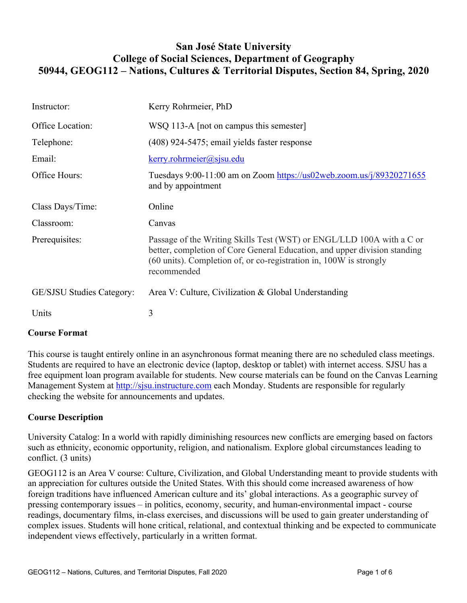## **San José State University College of Social Sciences, Department of Geography 50944, GEOG112 – Nations, Cultures & Territorial Disputes, Section 84, Spring, 2020**

| Instructor:                      | Kerry Rohrmeier, PhD                                                                                                                                                                                                                               |
|----------------------------------|----------------------------------------------------------------------------------------------------------------------------------------------------------------------------------------------------------------------------------------------------|
| Office Location:                 | WSQ 113-A [not on campus this semester]                                                                                                                                                                                                            |
| Telephone:                       | (408) 924-5475; email yields faster response                                                                                                                                                                                                       |
| Email:                           | $\text{kerry}$ .rohrmeier@sjsu.edu                                                                                                                                                                                                                 |
| Office Hours:                    | Tuesdays 9:00-11:00 am on Zoom https://us02web.zoom.us/j/89320271655<br>and by appointment                                                                                                                                                         |
| Class Days/Time:                 | Online                                                                                                                                                                                                                                             |
| Classroom:                       | Canvas                                                                                                                                                                                                                                             |
| Prerequisites:                   | Passage of the Writing Skills Test (WST) or ENGL/LLD 100A with a C or<br>better, completion of Core General Education, and upper division standing<br>$(60 \text{ units})$ . Completion of, or co-registration in, 100W is strongly<br>recommended |
| <b>GE/SJSU Studies Category:</b> | Area V: Culture, Civilization & Global Understanding                                                                                                                                                                                               |
| Units                            | 3                                                                                                                                                                                                                                                  |

## **Course Format**

This course is taught entirely online in an asynchronous format meaning there are no scheduled class meetings. Students are required to have an electronic device (laptop, desktop or tablet) with internet access. SJSU has a free equipment loan program available for students. New course materials can be found on the Canvas Learning Management System at http://sisu.instructure.com each Monday. Students are responsible for regularly checking the website for announcements and updates.

## **Course Description**

University Catalog: In a world with rapidly diminishing resources new conflicts are emerging based on factors such as ethnicity, economic opportunity, religion, and nationalism. Explore global circumstances leading to conflict. (3 units)

GEOG112 is an Area V course: Culture, Civilization, and Global Understanding meant to provide students with an appreciation for cultures outside the United States. With this should come increased awareness of how foreign traditions have influenced American culture and its' global interactions. As a geographic survey of pressing contemporary issues – in politics, economy, security, and human-environmental impact - course readings, documentary films, in-class exercises, and discussions will be used to gain greater understanding of complex issues. Students will hone critical, relational, and contextual thinking and be expected to communicate independent views effectively, particularly in a written format.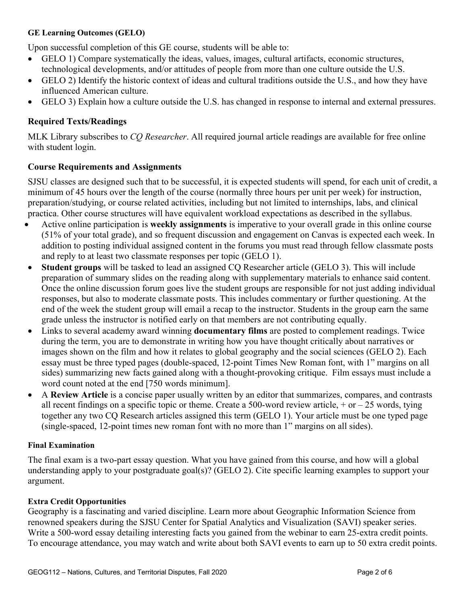#### **GE Learning Outcomes (GELO)**

Upon successful completion of this GE course, students will be able to:

- GELO 1) Compare systematically the ideas, values, images, cultural artifacts, economic structures, technological developments, and/or attitudes of people from more than one culture outside the U.S.
- GELO 2) Identify the historic context of ideas and cultural traditions outside the U.S., and how they have influenced American culture.
- GELO 3) Explain how a culture outside the U.S. has changed in response to internal and external pressures.

## **Required Texts/Readings**

MLK Library subscribes to *CQ Researcher*. All required journal article readings are available for free online with student login.

## **Course Requirements and Assignments**

SJSU classes are designed such that to be successful, it is expected students will spend, for each unit of credit, a minimum of 45 hours over the length of the course (normally three hours per unit per week) for instruction, preparation/studying, or course related activities, including but not limited to internships, labs, and clinical practica. Other course structures will have equivalent workload expectations as described in the syllabus.

- Active online participation is **weekly assignments** is imperative to your overall grade in this online course (51% of your total grade), and so frequent discussion and engagement on Canvas is expected each week. In addition to posting individual assigned content in the forums you must read through fellow classmate posts and reply to at least two classmate responses per topic (GELO 1).
- **Student groups** will be tasked to lead an assigned CQ Researcher article (GELO 3). This will include preparation of summary slides on the reading along with supplementary materials to enhance said content. Once the online discussion forum goes live the student groups are responsible for not just adding individual responses, but also to moderate classmate posts. This includes commentary or further questioning. At the end of the week the student group will email a recap to the instructor. Students in the group earn the same grade unless the instructor is notified early on that members are not contributing equally.
- Links to several academy award winning **documentary films** are posted to complement readings. Twice during the term, you are to demonstrate in writing how you have thought critically about narratives or images shown on the film and how it relates to global geography and the social sciences (GELO 2). Each essay must be three typed pages (double-spaced, 12-point Times New Roman font, with 1" margins on all sides) summarizing new facts gained along with a thought-provoking critique. Film essays must include a word count noted at the end [750 words minimum].
- A **Review Article** is a concise paper usually written by an editor that summarizes, compares, and contrasts all recent findings on a specific topic or theme. Create a 500-word review article,  $+$  or  $-$  25 words, tying together any two CQ Research articles assigned this term (GELO 1). Your article must be one typed page (single-spaced, 12-point times new roman font with no more than 1" margins on all sides).

## **Final Examination**

The final exam is a two-part essay question. What you have gained from this course, and how will a global understanding apply to your postgraduate goal(s)? (GELO 2). Cite specific learning examples to support your argument.

#### **Extra Credit Opportunities**

Geography is a fascinating and varied discipline. Learn more about Geographic Information Science from renowned speakers during the SJSU Center for Spatial Analytics and Visualization (SAVI) speaker series. Write a 500-word essay detailing interesting facts you gained from the webinar to earn 25-extra credit points. To encourage attendance, you may watch and write about both SAVI events to earn up to 50 extra credit points.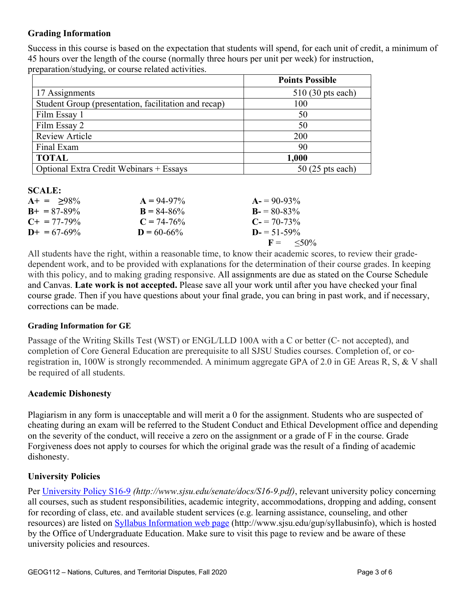## **Grading Information**

Success in this course is based on the expectation that students will spend, for each unit of credit, a minimum of 45 hours over the length of the course (normally three hours per unit per week) for instruction, preparation/studying, or course related activities.

|                                                      | <b>Points Possible</b> |
|------------------------------------------------------|------------------------|
| 17 Assignments                                       | $510(30)$ pts each)    |
| Student Group (presentation, facilitation and recap) | 100                    |
| Film Essay 1                                         | 50                     |
| Film Essay 2                                         | 50                     |
| <b>Review Article</b>                                | 200                    |
| Final Exam                                           | 90                     |
| <b>TOTAL</b>                                         | 1,000                  |
| Optional Extra Credit Webinars + Essays              | $50(25$ pts each)      |

#### **SCALE:**

| $A+ = 98\%$           | $A = 94-97\%$   | $A = 90-93\%$              |
|-----------------------|-----------------|----------------------------|
| $B_{+} = 87 - 89\%$   | $B = 84 - 86\%$ | $B = 80-83\%$              |
| $C_{\pm} = 77 - 79\%$ | $C = 74-76%$    | $C = 70-73\%$              |
| $D+ = 67-69\%$        | $D = 60 - 66\%$ | $D = 51 - 59\%$            |
|                       |                 | $F = \langle 50\% \rangle$ |
|                       |                 |                            |

All students have the right, within a reasonable time, to know their academic scores, to review their gradedependent work, and to be provided with explanations for the determination of their course grades. In keeping with this policy, and to making grading responsive. All assignments are due as stated on the Course Schedule and Canvas. **Late work is not accepted.** Please save all your work until after you have checked your final course grade. Then if you have questions about your final grade, you can bring in past work, and if necessary, corrections can be made.

## **Grading Information for GE**

Passage of the Writing Skills Test (WST) or ENGL/LLD 100A with a C or better (C‐ not accepted), and completion of Core General Education are prerequisite to all SJSU Studies courses. Completion of, or coregistration in, 100W is strongly recommended. A minimum aggregate GPA of 2.0 in GE Areas R, S, & V shall be required of all students.

## **Academic Dishonesty**

Plagiarism in any form is unacceptable and will merit a 0 for the assignment. Students who are suspected of cheating during an exam will be referred to the Student Conduct and Ethical Development office and depending on the severity of the conduct, will receive a zero on the assignment or a grade of F in the course. Grade Forgiveness does not apply to courses for which the original grade was the result of a finding of academic dishonesty.

## **University Policies**

Per University Policy S16-9 *(http://www.sjsu.edu/senate/docs/S16-9.pdf)*, relevant university policy concerning all courses, such as student responsibilities, academic integrity, accommodations, dropping and adding, consent for recording of class, etc. and available student services (e.g. learning assistance, counseling, and other resources) are listed on **Syllabus Information web page** (http://www.sjsu.edu/gup/syllabusinfo), which is hosted by the Office of Undergraduate Education. Make sure to visit this page to review and be aware of these university policies and resources.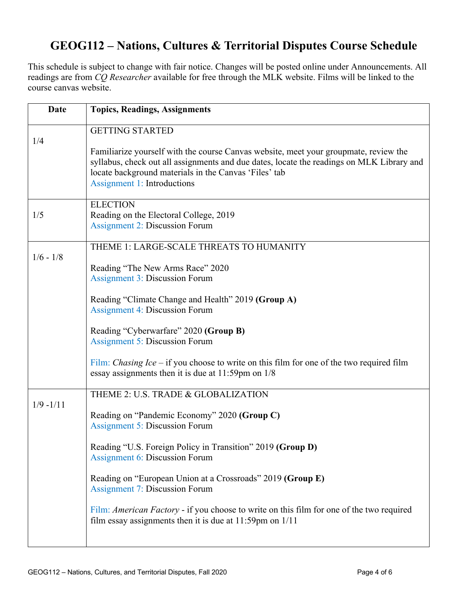# **GEOG112 – Nations, Cultures & Territorial Disputes Course Schedule**

This schedule is subject to change with fair notice. Changes will be posted online under Announcements. All readings are from *CQ Researcher* available for free through the MLK website. Films will be linked to the course canvas website.

| <b>Date</b>  | <b>Topics, Readings, Assignments</b>                                                                                                                                                                                                                                             |
|--------------|----------------------------------------------------------------------------------------------------------------------------------------------------------------------------------------------------------------------------------------------------------------------------------|
| 1/4          | <b>GETTING STARTED</b>                                                                                                                                                                                                                                                           |
|              | Familiarize yourself with the course Canvas website, meet your groupmate, review the<br>syllabus, check out all assignments and due dates, locate the readings on MLK Library and<br>locate background materials in the Canvas 'Files' tab<br><b>Assignment 1: Introductions</b> |
| 1/5          | <b>ELECTION</b><br>Reading on the Electoral College, 2019<br><b>Assignment 2: Discussion Forum</b>                                                                                                                                                                               |
| $1/6 - 1/8$  | THEME 1: LARGE-SCALE THREATS TO HUMANITY                                                                                                                                                                                                                                         |
|              | Reading "The New Arms Race" 2020<br><b>Assignment 3: Discussion Forum</b>                                                                                                                                                                                                        |
|              | Reading "Climate Change and Health" 2019 (Group A)<br><b>Assignment 4: Discussion Forum</b>                                                                                                                                                                                      |
|              | Reading "Cyberwarfare" 2020 (Group B)<br><b>Assignment 5: Discussion Forum</b>                                                                                                                                                                                                   |
|              | Film: <i>Chasing Ice</i> – if you choose to write on this film for one of the two required film<br>essay assignments then it is due at $11:59$ pm on $1/8$                                                                                                                       |
| $1/9 - 1/11$ | THEME 2: U.S. TRADE & GLOBALIZATION                                                                                                                                                                                                                                              |
|              | Reading on "Pandemic Economy" 2020 (Group C)<br><b>Assignment 5: Discussion Forum</b>                                                                                                                                                                                            |
|              | Reading "U.S. Foreign Policy in Transition" 2019 (Group D)<br><b>Assignment 6: Discussion Forum</b>                                                                                                                                                                              |
|              | Reading on "European Union at a Crossroads" 2019 (Group E)<br><b>Assignment 7: Discussion Forum</b>                                                                                                                                                                              |
|              | Film: American Factory - if you choose to write on this film for one of the two required<br>film essay assignments then it is due at $11:59$ pm on $1/11$                                                                                                                        |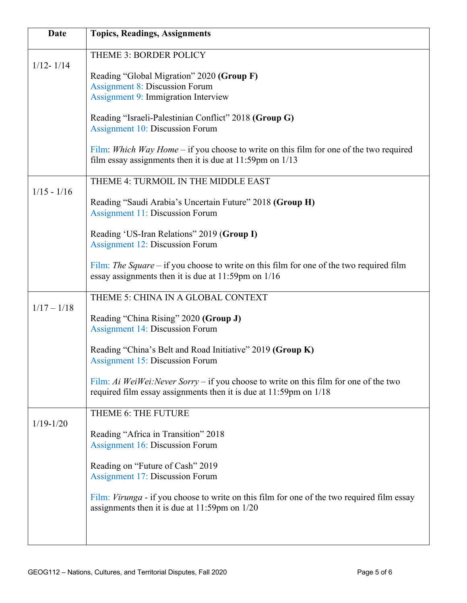| Date          | <b>Topics, Readings, Assignments</b>                                                                                                                            |
|---------------|-----------------------------------------------------------------------------------------------------------------------------------------------------------------|
| $1/12 - 1/14$ | THEME 3: BORDER POLICY                                                                                                                                          |
|               | Reading "Global Migration" 2020 (Group F)                                                                                                                       |
|               | <b>Assignment 8: Discussion Forum</b><br><b>Assignment 9: Immigration Interview</b>                                                                             |
|               | Reading "Israeli-Palestinian Conflict" 2018 (Group G)                                                                                                           |
|               | <b>Assignment 10: Discussion Forum</b>                                                                                                                          |
|               | Film: Which Way Home – if you choose to write on this film for one of the two required<br>film essay assignments then it is due at $11:59$ pm on $1/13$         |
|               | THEME 4: TURMOIL IN THE MIDDLE EAST                                                                                                                             |
| $1/15 - 1/16$ | Reading "Saudi Arabia's Uncertain Future" 2018 (Group H)<br><b>Assignment 11: Discussion Forum</b>                                                              |
|               | Reading 'US-Iran Relations" 2019 (Group I)<br><b>Assignment 12: Discussion Forum</b>                                                                            |
|               | Film: The Square – if you choose to write on this film for one of the two required film<br>essay assignments then it is due at 11:59pm on 1/16                  |
| $1/17 - 1/18$ | THEME 5: CHINA IN A GLOBAL CONTEXT                                                                                                                              |
|               | Reading "China Rising" 2020 (Group J)<br><b>Assignment 14: Discussion Forum</b>                                                                                 |
|               | Reading "China's Belt and Road Initiative" 2019 (Group K)<br><b>Assignment 15: Discussion Forum</b>                                                             |
|               | Film: Ai WeiWei: Never Sorry – if you choose to write on this film for one of the two<br>required film essay assignments then it is due at $11:59$ pm on $1/18$ |
|               | THEME 6: THE FUTURE                                                                                                                                             |
| $1/19 - 1/20$ | Reading "Africa in Transition" 2018<br><b>Assignment 16: Discussion Forum</b>                                                                                   |
|               | Reading on "Future of Cash" 2019<br><b>Assignment 17: Discussion Forum</b>                                                                                      |
|               | Film: Virunga - if you choose to write on this film for one of the two required film essay<br>assignments then it is due at $11:59$ pm on $1/20$                |
|               |                                                                                                                                                                 |